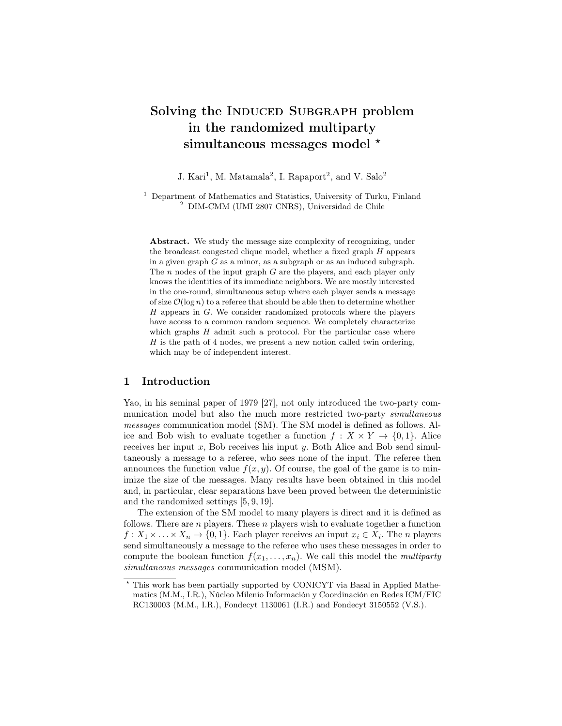# Solving the INDUCED SUBGRAPH problem in the randomized multiparty simultaneous messages model \*

J. Kari<sup>1</sup>, M. Matamala<sup>2</sup>, I. Rapaport<sup>2</sup>, and V. Salo<sup>2</sup>

<sup>1</sup> Department of Mathematics and Statistics, University of Turku, Finland <sup>2</sup> DIM-CMM (UMI 2807 CNRS), Universidad de Chile

Abstract. We study the message size complexity of recognizing, under the broadcast congested clique model, whether a fixed graph  $H$  appears in a given graph  $G$  as a minor, as a subgraph or as an induced subgraph. The  $n$  nodes of the input graph  $G$  are the players, and each player only knows the identities of its immediate neighbors. We are mostly interested in the one-round, simultaneous setup where each player sends a message of size  $\mathcal{O}(\log n)$  to a referee that should be able then to determine whether H appears in G. We consider randomized protocols where the players have access to a common random sequence. We completely characterize which graphs  $H$  admit such a protocol. For the particular case where  $H$  is the path of 4 nodes, we present a new notion called twin ordering, which may be of independent interest.

### 1 Introduction

Yao, in his seminal paper of 1979 [27], not only introduced the two-party communication model but also the much more restricted two-party simultaneous messages communication model (SM). The SM model is defined as follows. Alice and Bob wish to evaluate together a function  $f: X \times Y \to \{0, 1\}$ . Alice receives her input  $x$ , Bob receives his input  $y$ . Both Alice and Bob send simultaneously a message to a referee, who sees none of the input. The referee then announces the function value  $f(x, y)$ . Of course, the goal of the game is to minimize the size of the messages. Many results have been obtained in this model and, in particular, clear separations have been proved between the deterministic and the randomized settings [5, 9, 19].

The extension of the SM model to many players is direct and it is defined as follows. There are  $n$  players. These  $n$  players wish to evaluate together a function  $f: X_1 \times \ldots \times X_n \to \{0,1\}$ . Each player receives an input  $x_i \in X_i$ . The *n* players send simultaneously a message to the referee who uses these messages in order to compute the boolean function  $f(x_1, \ldots, x_n)$ . We call this model the *multiparty* simultaneous messages communication model (MSM).

<sup>?</sup> This work has been partially supported by CONICYT via Basal in Applied Mathematics (M.M., I.R.), Núcleo Milenio Información y Coordinación en Redes ICM/FIC RC130003 (M.M., I.R.), Fondecyt 1130061 (I.R.) and Fondecyt 3150552 (V.S.).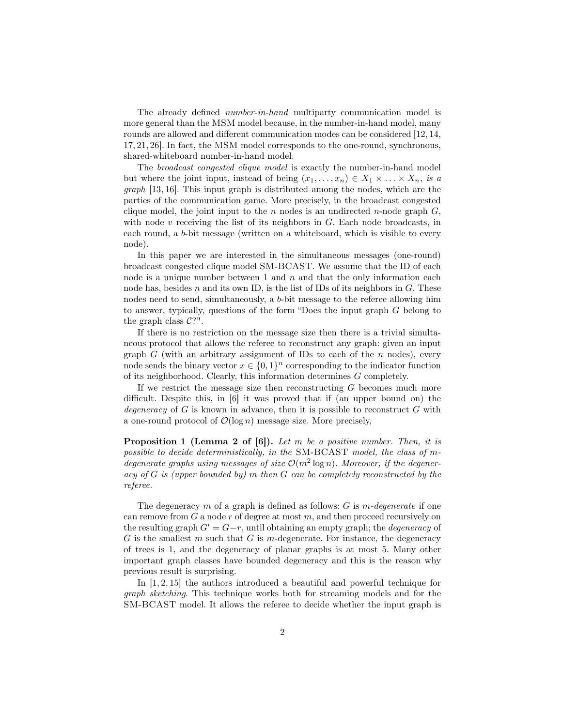The already defined *number-in-hand* multiparty communication model is more general than the MSM model because, in the number-in-hand model, many rounds are allowed and different communication modes can be considered [12, 14, 17, 21, 26]. In fact, the MSM model corresponds to the one-round, synchronous, shared-whiteboard number-in-hand model.

The broadcast congested clique model is exactly the number-in-hand model but where the joint input, instead of being  $(x_1, \ldots, x_n) \in X_1 \times \ldots \times X_n$ , is a graph [13, 16]. This input graph is distributed among the nodes, which are the parties of the communication game. More precisely, in the broadcast congested clique model, the joint input to the  $n$  nodes is an undirected  $n$ -node graph  $G$ , with node  $v$  receiving the list of its neighbors in  $G$ . Each node broadcasts, in each round, a b-bit message (written on a whiteboard, which is visible to every node).

In this paper we are interested in the simultaneous messages (one-round) broadcast congested clique model SM-BCAST. We assume that the ID of each node is a unique number between 1 and  $n$  and that the only information each node has, besides  $n$  and its own ID, is the list of IDs of its neighbors in  $G$ . These nodes need to send, simultaneously, a b-bit message to the referee allowing him to answer, typically, questions of the form "Does the input graph G belong to the graph class  $C$ ?".

If there is no restriction on the message size then there is a trivial simultaneous protocol that allows the referee to reconstruct any graph: given an input graph G (with an arbitrary assignment of IDs to each of the n nodes), every node sends the binary vector  $x \in \{0,1\}^n$  corresponding to the indicator function of its neighborhood. Clearly, this information determines G completely.

If we restrict the message size then reconstructing  $G$  becomes much more difficult. Despite this, in [6] it was proved that if (an upper bound on) the degeneracy of G is known in advance, then it is possible to reconstruct  $G$  with a one-round protocol of  $\mathcal{O}(\log n)$  message size. More precisely,

**Proposition 1 (Lemma 2 of [6]).** Let  $m$  be a positive number. Then, it is possible to decide deterministically, in the SM-BCAST model, the class of mdegenerate graphs using messages of size  $\mathcal{O}(m^2 \log n)$ . Moreover, if the degeneracy of  $G$  is (upper bounded by) m then  $G$  can be completely reconstructed by the referee.

The degeneracy  $m$  of a graph is defined as follows:  $G$  is  $m$ -degenerate if one can remove from  $G$  a node r of degree at most  $m$ , and then proceed recursively on the resulting graph  $G' = G - r$ , until obtaining an empty graph; the *degeneracy* of  $G$  is the smallest  $m$  such that  $G$  is  $m$ -degenerate. For instance, the degeneracy of trees is 1, and the degeneracy of planar graphs is at most 5. Many other important graph classes have bounded degeneracy and this is the reason why previous result is surprising.

In [1, 2, 15] the authors introduced a beautiful and powerful technique for graph sketching. This technique works both for streaming models and for the SM-BCAST model. It allows the referee to decide whether the input graph is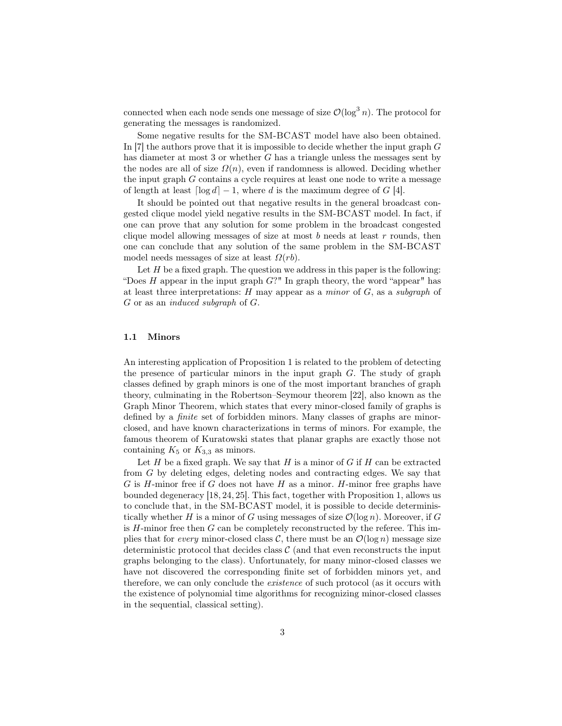connected when each node sends one message of size  $\mathcal{O}(\log^3 n)$ . The protocol for generating the messages is randomized.

Some negative results for the SM-BCAST model have also been obtained. In  $[7]$  the authors prove that it is impossible to decide whether the input graph  $G$ has diameter at most 3 or whether G has a triangle unless the messages sent by the nodes are all of size  $\Omega(n)$ , even if randomness is allowed. Deciding whether the input graph G contains a cycle requires at least one node to write a message of length at least  $\lceil \log d \rceil - 1$ , where d is the maximum degree of G [4].

It should be pointed out that negative results in the general broadcast congested clique model yield negative results in the SM-BCAST model. In fact, if one can prove that any solution for some problem in the broadcast congested clique model allowing messages of size at most  $b$  needs at least  $r$  rounds, then one can conclude that any solution of the same problem in the SM-BCAST model needs messages of size at least  $\Omega(rb)$ .

Let  $H$  be a fixed graph. The question we address in this paper is the following: "Does  $H$  appear in the input graph  $G$ ?" In graph theory, the word "appear" has at least three interpretations:  $H$  may appear as a minor of  $G$ , as a subgraph of G or as an induced subgraph of G.

### 1.1 Minors

An interesting application of Proposition 1 is related to the problem of detecting the presence of particular minors in the input graph  $G$ . The study of graph classes defined by graph minors is one of the most important branches of graph theory, culminating in the Robertson–Seymour theorem [22], also known as the Graph Minor Theorem, which states that every minor-closed family of graphs is defined by a finite set of forbidden minors. Many classes of graphs are minorclosed, and have known characterizations in terms of minors. For example, the famous theorem of Kuratowski states that planar graphs are exactly those not containing  $K_5$  or  $K_{3,3}$  as minors.

Let H be a fixed graph. We say that H is a minor of  $G$  if H can be extracted from G by deleting edges, deleting nodes and contracting edges. We say that  $G$  is  $H$ -minor free if  $G$  does not have  $H$  as a minor.  $H$ -minor free graphs have bounded degeneracy [18, 24, 25]. This fact, together with Proposition 1, allows us to conclude that, in the SM-BCAST model, it is possible to decide deterministically whether H is a minor of G using messages of size  $\mathcal{O}(\log n)$ . Moreover, if G is  $H$ -minor free then  $G$  can be completely reconstructed by the referee. This implies that for *every* minor-closed class C, there must be an  $\mathcal{O}(\log n)$  message size deterministic protocol that decides class  $\mathcal C$  (and that even reconstructs the input graphs belonging to the class). Unfortunately, for many minor-closed classes we have not discovered the corresponding finite set of forbidden minors yet, and therefore, we can only conclude the existence of such protocol (as it occurs with the existence of polynomial time algorithms for recognizing minor-closed classes in the sequential, classical setting).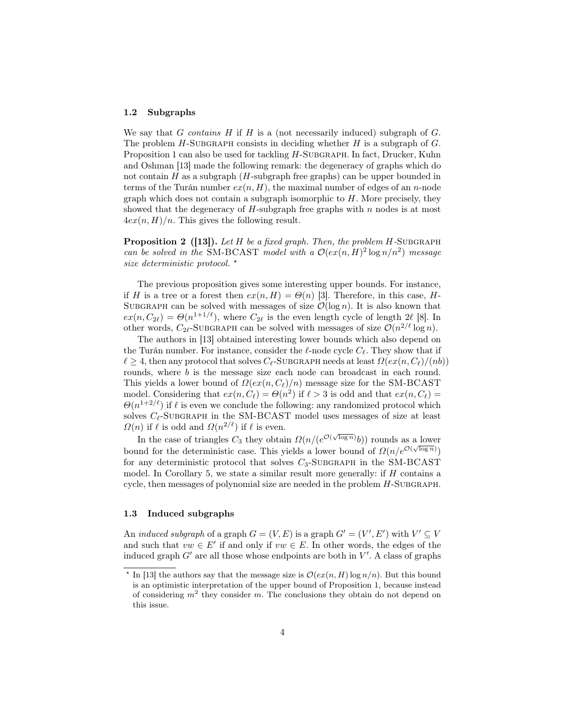### 1.2 Subgraphs

We say that G contains H if H is a (not necessarily induced) subgraph of  $G$ . The problem  $H$ -SUBGRAPH consists in deciding whether  $H$  is a subgraph of  $G$ . Proposition 1 can also be used for tackling H-SUBGRAPH. In fact, Drucker, Kuhn and Oshman [13] made the following remark: the degeneracy of graphs which do not contain  $H$  as a subgraph  $(H$ -subgraph free graphs) can be upper bounded in terms of the Turán number  $ex(n, H)$ , the maximal number of edges of an *n*-node graph which does not contain a subgraph isomorphic to  $H$ . More precisely, they showed that the degeneracy of  $H$ -subgraph free graphs with  $n$  nodes is at most  $4ex(n, H)/n$ . This gives the following result.

**Proposition 2** ([13]). Let H be a fixed graph. Then, the problem  $H$ -SUBGRAPH can be solved in the SM-BCAST model with a  $\mathcal{O}(ex(n, H)^2 \log n/n^2)$  message size deterministic protocol.  $\star$ 

The previous proposition gives some interesting upper bounds. For instance, if H is a tree or a forest then  $ex(n, H) = \Theta(n)$  [3]. Therefore, in this case, H-SUBGRAPH can be solved with messages of size  $\mathcal{O}(\log n)$ . It is also known that  $ex(n, C_{2\ell}) = \Theta(n^{1+1/\ell})$ , where  $C_{2\ell}$  is the even length cycle of length 2 $\ell$  [8]. In other words,  $C_{2\ell}$ -SUBGRAPH can be solved with messages of size  $\mathcal{O}(n^{2/\ell} \log n)$ .

The authors in [13] obtained interesting lower bounds which also depend on the Turán number. For instance, consider the  $\ell$ -node cycle  $C_\ell$ . They show that if  $\ell \geq 4$ , then any protocol that solves C<sub>l</sub>-Subgraph needs at least  $\Omega(ex(n, C_{\ell})/(nb))$ rounds, where *b* is the message size each node can broadcast in each round. This yields a lower bound of  $\Omega(ex(n, C_{\ell})/n)$  message size for the SM-BCAST model. Considering that  $ex(n, C_{\ell}) = \Theta(n^2)$  if  $\ell > 3$  is odd and that  $ex(n, C_{\ell}) =$  $\Theta(n^{1+2/\ell})$  if  $\ell$  is even we conclude the following: any randomized protocol which solves  $C_{\ell}$ -SUBGRAPH in the SM-BCAST model uses messages of size at least  $\Omega(n)$  if  $\ell$  is odd and  $\Omega(n^{2/\ell})$  if  $\ell$  is even.

In the case of triangles  $C_3$  they obtain  $\Omega(n/(e^{\mathcal{O}(\sqrt{\log n})}b))$  rounds as a lower bound for the deterministic case. This yields a lower bound of  $\Omega(n/e^{\mathcal{O}(\sqrt{\log n})})$ for any deterministic protocol that solves  $C_3$ -SUBGRAPH in the SM-BCAST model. In Corollary 5, we state a similar result more generally: if  $H$  contains a cycle, then messages of polynomial size are needed in the problem  $H$ -SUBGRAPH.

### 1.3 Induced subgraphs

An *induced subgraph* of a graph  $G = (V, E)$  is a graph  $G' = (V', E')$  with  $V' \subseteq V$ and such that  $vw \in E'$  if and only if  $vw \in E$ . In other words, the edges of the induced graph  $G'$  are all those whose endpoints are both in  $V'$ . A class of graphs

<sup>&</sup>lt;sup>\*</sup> In [13] the authors say that the message size is  $\mathcal{O}(ex(n, H) \log n/n)$ . But this bound is an optimistic interpretation of the upper bound of Proposition 1, because instead of considering  $m^2$  they consider m. The conclusions they obtain do not depend on this issue.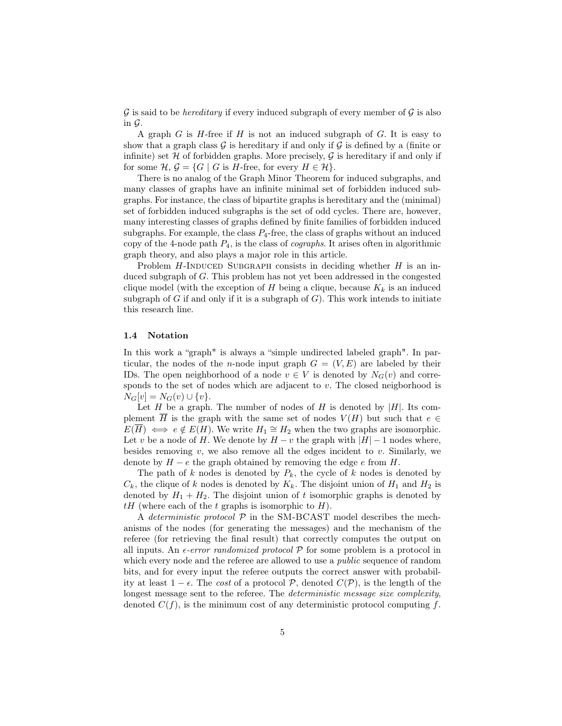$\mathcal G$  is said to be *hereditary* if every induced subgraph of every member of  $\mathcal G$  is also in  $\mathcal G$ .

A graph  $G$  is  $H$ -free if  $H$  is not an induced subgraph of  $G$ . It is easy to show that a graph class  $\mathcal G$  is hereditary if and only if  $\mathcal G$  is defined by a (finite or infinite) set  $H$  of forbidden graphs. More precisely,  $G$  is hereditary if and only if for some  $\mathcal{H}, \mathcal{G} = \{G \mid G \text{ is } H\text{-free, for every } H \in \mathcal{H}\}.$ 

There is no analog of the Graph Minor Theorem for induced subgraphs, and many classes of graphs have an infinite minimal set of forbidden induced subgraphs. For instance, the class of bipartite graphs is hereditary and the (minimal) set of forbidden induced subgraphs is the set of odd cycles. There are, however, many interesting classes of graphs defined by finite families of forbidden induced subgraphs. For example, the class  $P_4$ -free, the class of graphs without an induced copy of the 4-node path  $P_4$ , is the class of *cographs*. It arises often in algorithmic graph theory, and also plays a major role in this article.

Problem  $H$ -INDUCED SUBGRAPH consists in deciding whether  $H$  is an induced subgraph of G. This problem has not yet been addressed in the congested clique model (with the exception of H being a clique, because  $K_k$  is an induced subgraph of  $G$  if and only if it is a subgraph of  $G$ ). This work intends to initiate this research line.

### 1.4 Notation

In this work a "graph" is always a "simple undirected labeled graph". In particular, the nodes of the *n*-node input graph  $G = (V, E)$  are labeled by their IDs. The open neighborhood of a node  $v \in V$  is denoted by  $N_G(v)$  and corresponds to the set of nodes which are adjacent to  $v$ . The closed neigborhood is  $N_G[v] = N_G(v) \cup \{v\}.$ 

Let H be a graph. The number of nodes of H is denoted by  $|H|$ . Its complement  $\overline{H}$  is the graph with the same set of nodes  $V(H)$  but such that  $e \in$  $E(\overline{H}) \iff e \notin E(H)$ . We write  $H_1 \cong H_2$  when the two graphs are isomorphic. Let v be a node of H. We denote by  $H - v$  the graph with  $|H| - 1$  nodes where, besides removing v, we also remove all the edges incident to v. Similarly, we denote by  $H - e$  the graph obtained by removing the edge e from H.

The path of k nodes is denoted by  $P_k$ , the cycle of k nodes is denoted by  $C_k$ , the clique of k nodes is denoted by  $K_k$ . The disjoint union of  $H_1$  and  $H_2$  is denoted by  $H_1 + H_2$ . The disjoint union of t isomorphic graphs is denoted by  $tH$  (where each of the t graphs is isomorphic to H).

A deterministic protocol  $P$  in the SM-BCAST model describes the mechanisms of the nodes (for generating the messages) and the mechanism of the referee (for retrieving the final result) that correctly computes the output on all inputs. An  $\epsilon$ -error randomized protocol  $P$  for some problem is a protocol in which every node and the referee are allowed to use a *public* sequence of random bits, and for every input the referee outputs the correct answer with probability at least  $1 - \epsilon$ . The cost of a protocol P, denoted  $C(\mathcal{P})$ , is the length of the longest message sent to the referee. The *deterministic message size complexity*, denoted  $C(f)$ , is the minimum cost of any deterministic protocol computing f.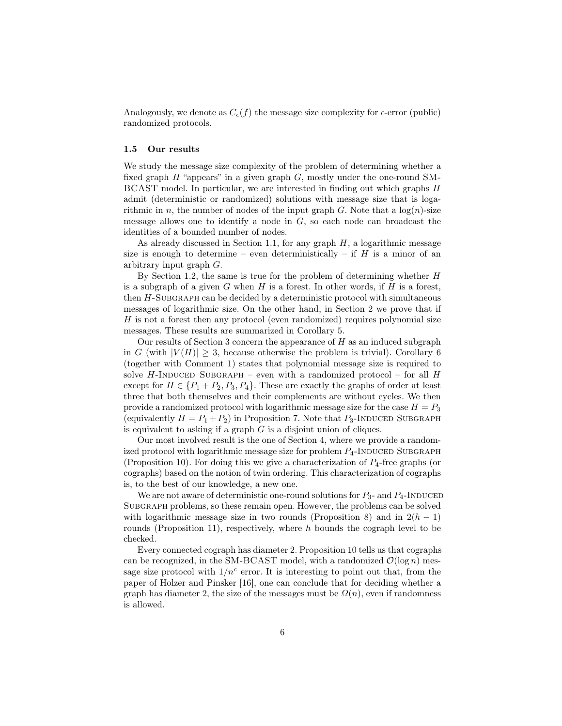Analogously, we denote as  $C_{\epsilon}(f)$  the message size complexity for  $\epsilon$ -error (public) randomized protocols.

### 1.5 Our results

We study the message size complexity of the problem of determining whether a fixed graph  $H$  "appears" in a given graph  $G$ , mostly under the one-round SM-BCAST model. In particular, we are interested in finding out which graphs H admit (deterministic or randomized) solutions with message size that is logarithmic in n, the number of nodes of the input graph G. Note that a  $log(n)$ -size message allows one to identify a node in  $G$ , so each node can broadcast the identities of a bounded number of nodes.

As already discussed in Section 1.1, for any graph  $H$ , a logarithmic message size is enough to determine – even deterministically – if  $H$  is a minor of an arbitrary input graph G.

By Section 1.2, the same is true for the problem of determining whether  $H$ is a subgraph of a given  $G$  when  $H$  is a forest. In other words, if  $H$  is a forest, then  $H$ -SUBGRAPH can be decided by a deterministic protocol with simultaneous messages of logarithmic size. On the other hand, in Section 2 we prove that if H is not a forest then any protocol (even randomized) requires polynomial size messages. These results are summarized in Corollary 5.

Our results of Section 3 concern the appearance of  $H$  as an induced subgraph in G (with  $|V(H)| \geq 3$ , because otherwise the problem is trivial). Corollary 6 (together with Comment 1) states that polynomial message size is required to solve H-INDUCED SUBGRAPH – even with a randomized protocol – for all  $H$ except for  $H \in \{P_1 + P_2, P_3, P_4\}$ . These are exactly the graphs of order at least three that both themselves and their complements are without cycles. We then provide a randomized protocol with logarithmic message size for the case  $H = P_3$ (equivalently  $H = P_1 + P_2$ ) in Proposition 7. Note that  $P_3$ -INDUCED SUBGRAPH is equivalent to asking if a graph  $G$  is a disjoint union of cliques.

Our most involved result is the one of Section 4, where we provide a randomized protocol with logarithmic message size for problem  $P_4$ -INDUCED SUBGRAPH (Proposition 10). For doing this we give a characterization of  $P_4$ -free graphs (or cographs) based on the notion of twin ordering. This characterization of cographs is, to the best of our knowledge, a new one.

We are not aware of deterministic one-round solutions for  $P_3$ - and  $P_4$ -INDUCED SUBGRAPH problems, so these remain open. However, the problems can be solved with logarithmic message size in two rounds (Proposition 8) and in  $2(h-1)$ rounds (Proposition 11), respectively, where  $h$  bounds the cograph level to be checked.

Every connected cograph has diameter 2. Proposition 10 tells us that cographs can be recognized, in the SM-BCAST model, with a randomized  $\mathcal{O}(\log n)$  message size protocol with  $1/n^c$  error. It is interesting to point out that, from the paper of Holzer and Pinsker [16], one can conclude that for deciding whether a graph has diameter 2, the size of the messages must be  $\Omega(n)$ , even if randomness is allowed.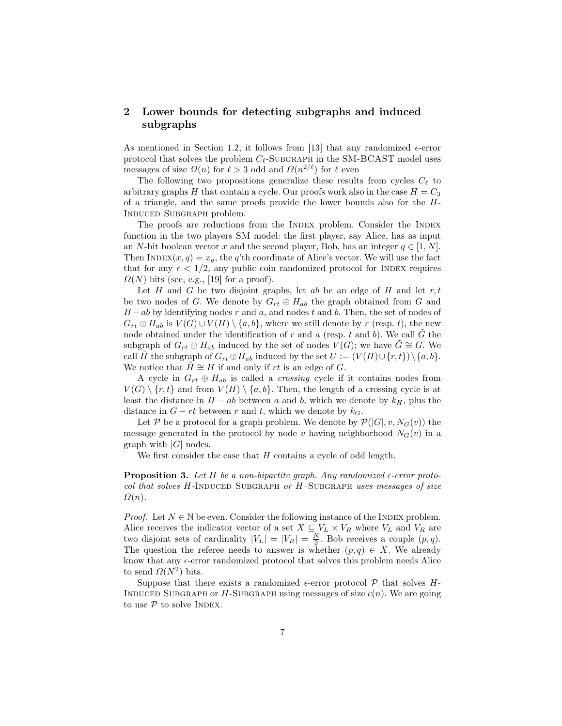# 2 Lower bounds for detecting subgraphs and induced subgraphs

As mentioned in Section 1.2, it follows from [13] that any randomized  $\epsilon$ -error protocol that solves the problem  $C_{\ell}$ -SUBGRAPH in the SM-BCAST model uses messages of size  $\Omega(n)$  for  $\ell > 3$  odd and  $\Omega(n^{2/\ell})$  for  $\ell$  even

The following two propositions generalize these results from cycles  $C_{\ell}$  to arbitrary graphs  $H$  that contain a cycle. Our proofs work also in the case  $H = C_3$ of a triangle, and the same proofs provide the lower bounds also for the H-Induced Subgraph problem.

The proofs are reductions from the INDEX problem. Consider the INDEX function in the two players SM model: the first player, say Alice, has as input an N-bit boolean vector x and the second player, Bob, has an integer  $q \in [1, N]$ . Then INDEX $(x, q) = x_q$ , the q'th coordinate of Alice's vector. We will use the fact that for any  $\epsilon < 1/2$ , any public coin randomized protocol for INDEX requires  $\Omega(N)$  bits (see, e.g., [19] for a proof).

Let  $H$  and  $G$  be two disjoint graphs, let  $ab$  be an edge of  $H$  and let  $r, t$ be two nodes of G. We denote by  $G_{rt} \oplus H_{ab}$  the graph obtained from G and  $H - ab$  by identifying nodes r and a, and nodes t and b. Then, the set of nodes of  $G_{rt} \oplus H_{ab}$  is  $V(G) \cup V(H) \setminus \{a, b\}$ , where we still denote by r (resp. t), the new node obtained under the identification of  $r$  and  $a$  (resp.  $t$  and  $b$ ). We call  $G$  the subgraph of  $G_{rt} \oplus H_{ab}$  induced by the set of nodes  $V(G)$ ; we have  $G \cong G$ . We call H the subgraph of  $G_{rt} \oplus H_{ab}$  induced by the set  $U := (V(H) \cup \{r, t\}) \setminus \{a, b\}.$ We notice that  $H \cong H$  if and only if rt is an edge of G.

A cycle in  $G_{rt} \oplus H_{ab}$  is called a *crossing* cycle if it contains nodes from  $V(G) \setminus \{r, t\}$  and from  $V(H) \setminus \{a, b\}$ . Then, the length of a crossing cycle is at least the distance in  $H - ab$  between a and b, which we denote by  $k_H$ , plus the distance in  $G - rt$  between r and t, which we denote by  $k_G$ .

Let P be a protocol for a graph problem. We denote by  $\mathcal{P}(|G|, v, N_G(v))$  the message generated in the protocol by node v having neighborhood  $N_G(v)$  in a graph with  $|G|$  nodes.

We first consider the case that H contains a cycle of odd length.

**Proposition 3.** Let H be a non-bipartite graph. Any randomized  $\epsilon$ -error protocol that solves H-INDUCED SUBGRAPH or  $H$ -SUBGRAPH uses messages of size  $\Omega(n)$ .

*Proof.* Let  $N \in \mathbb{N}$  be even. Consider the following instance of the INDEX problem. Alice receives the indicator vector of a set  $X \subseteq V_L \times V_R$  where  $V_L$  and  $V_R$  are two disjoint sets of cardinality  $|V_L| = |V_R| = \frac{N}{2}$ . Bob receives a couple  $(p, q)$ . The question the referee needs to answer is whether  $(p, q) \in X$ . We already know that any  $\epsilon$ -error randomized protocol that solves this problem needs Alice to send  $\Omega(N^2)$  bits.

Suppose that there exists a randomized  $\epsilon$ -error protocol  $\mathcal P$  that solves H-INDUCED SUBGRAPH or  $H$ -SUBGRAPH using messages of size  $c(n)$ . We are going to use  $P$  to solve INDEX.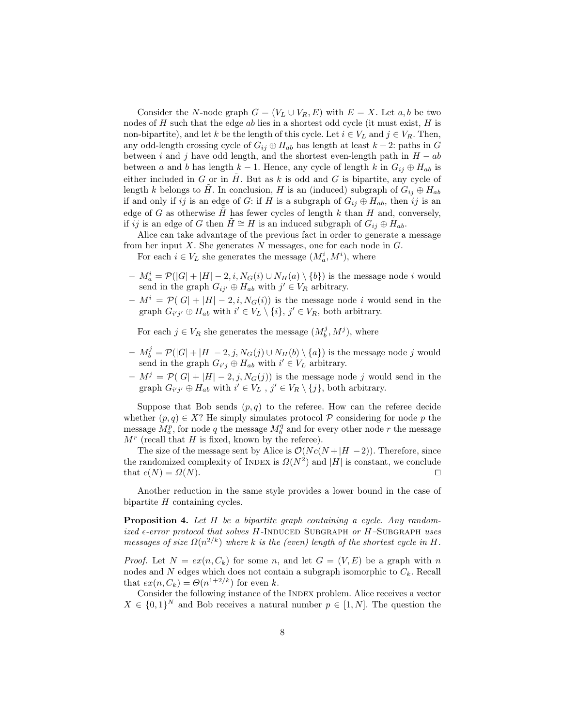Consider the N-node graph  $G = (V_L \cup V_R, E)$  with  $E = X$ . Let a, b be two nodes of  $H$  such that the edge  $ab$  lies in a shortest odd cycle (it must exist,  $H$  is non-bipartite), and let k be the length of this cycle. Let  $i \in V_L$  and  $j \in V_R$ . Then, any odd-length crossing cycle of  $G_{ij} \oplus H_{ab}$  has length at least  $k + 2$ : paths in G between i and j have odd length, and the shortest even-length path in  $H - ab$ between a and b has length  $k-1$ . Hence, any cycle of length k in  $G_{ij} \oplus H_{ab}$  is either included in  $G$  or in  $H$ . But as  $k$  is odd and  $G$  is bipartite, any cycle of length k belongs to H. In conclusion, H is an (induced) subgraph of  $G_{ij} \oplus H_{ab}$ if and only if ij is an edge of G: if H is a subgraph of  $G_{ij} \oplus H_{ab}$ , then ij is an edge of G as otherwise H has fewer cycles of length  $k$  than H and, conversely, if ij is an edge of G then  $H \cong H$  is an induced subgraph of  $G_{ij} \oplus H_{ab}$ .

Alice can take advantage of the previous fact in order to generate a message from her input  $X$ . She generates  $N$  messages, one for each node in  $G$ .

For each  $i \in V_L$  she generates the message  $(M_a^i, M^i)$ , where

- $-M_a^i = \mathcal{P}(|G| + |H| 2, i, N_G(i) \cup N_H(a) \setminus \{b\})$  is the message node i would send in the graph  $G_{ij'} \oplus H_{ab}$  with  $j' \in V_R$  arbitrary.
- $M^i = P(|G| + |H| 2, i, N_G(i))$  is the message node *i* would send in the graph  $G_{i'j'} \oplus H_{ab}$  with  $i' \in V_L \setminus \{i\}, j' \in V_R$ , both arbitrary.

For each  $j \in V_R$  she generates the message  $(M_b^j, M^j)$ , where

- $M_b^j = \mathcal{P}(|G| + |H| 2, j, N_G(j) \cup N_H(b) \setminus \{a\})$  is the message node j would send in the graph  $G_{i'j} \oplus H_{ab}$  with  $i' \in V_L$  arbitrary.
- $-M^{j} = \mathcal{P}(|G| + |H| 2, j, N_{G}(j))$  is the message node j would send in the graph  $G_{i'j'} \oplus H_{ab}$  with  $i' \in V_L$ ,  $j' \in V_R \setminus \{j\}$ , both arbitrary.

Suppose that Bob sends  $(p, q)$  to the referee. How can the referee decide whether  $(p, q) \in X$ ? He simply simulates protocol  $P$  considering for node p the message  $\tilde{M}_a^p$ , for node q the message  $M_b^q$  and for every other node r the message  $M<sup>r</sup>$  (recall that H is fixed, known by the referee).

The size of the message sent by Alice is  $\mathcal{O}(N c(N + |H| - 2))$ . Therefore, since the randomized complexity of INDEX is  $\Omega(N^2)$  and |H| is constant, we conclude that  $c(N) = \Omega(N)$ .

Another reduction in the same style provides a lower bound in the case of bipartite  $H$  containing cycles.

Proposition 4. Let H be a bipartite graph containing a cycle. Any randomized  $\epsilon$ -error protocol that solves H-INDUCED SUBGRAPH or H-SUBGRAPH uses messages of size  $\Omega(n^{2/k})$  where k is the (even) length of the shortest cycle in H.

*Proof.* Let  $N = ex(n, C_k)$  for some n, and let  $G = (V, E)$  be a graph with n nodes and N edges which does not contain a subgraph isomorphic to  $C_k$ . Recall that  $ex(n, C_k) = \Theta(n^{1+2/k})$  for even k.

Consider the following instance of the INDEX problem. Alice receives a vector  $X \in \{0,1\}^N$  and Bob receives a natural number  $p \in [1, N]$ . The question the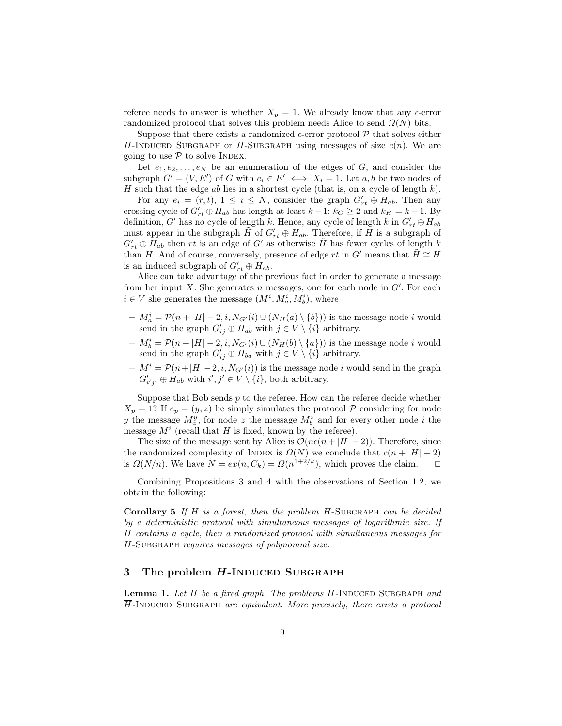referee needs to answer is whether  $X_p = 1$ . We already know that any  $\epsilon$ -error randomized protocol that solves this problem needs Alice to send  $\Omega(N)$  bits.

Suppose that there exists a randomized  $\epsilon$ -error protocol  $P$  that solves either H-INDUCED SUBGRAPH or H-SUBGRAPH using messages of size  $c(n)$ . We are going to use  $P$  to solve INDEX.

Let  $e_1, e_2, \ldots, e_N$  be an enumeration of the edges of G, and consider the subgraph  $G' = (V, E')$  of G with  $e_i \in E' \iff X_i = 1$ . Let  $a, b$  be two nodes of H such that the edge  $ab$  lies in a shortest cycle (that is, on a cycle of length  $k$ ).

For any  $e_i = (r, t)$ ,  $1 \le i \le N$ , consider the graph  $G'_{rt} \oplus H_{ab}$ . Then any crossing cycle of  $G'_{rt} \oplus H_{ab}$  has length at least  $k + 1$ :  $k_G \geq 2$  and  $k_H = k - 1$ . By definition, G' has no cycle of length k. Hence, any cycle of length  $k$  in  $G'_{rt} \oplus H_{ab}$ must appear in the subgraph  $\tilde{H}$  of  $G'_{rt} \oplus H_{ab}$ . Therefore, if  $H$  is a subgraph of  $G'_{rt} \oplus H_{ab}$  then rt is an edge of G' as otherwise  $\tilde{H}$  has fewer cycles of length k than H. And of course, conversely, presence of edge rt in G' means that  $H \cong H$ is an induced subgraph of  $G'_{rt} \oplus H_{ab}$ .

Alice can take advantage of the previous fact in order to generate a message from her input X. She generates n messages, one for each node in  $G'$ . For each  $i \in V$  she generates the message  $(M^i, M^i_a, M^i_b)$ , where

- $-M_a^i = \mathcal{P}(n+|H|-2,i,N_{G'}(i) \cup (N_H(a) \setminus \{b\}))$  is the message node i would send in the graph  $G'_{ij} \oplus H_{ab}$  with  $j \in V \setminus \{i\}$  arbitrary.
- $-M_b^i = \mathcal{P}(n+|H|-2,i,N_{G'}(i) \cup (N_H(b) \setminus \{a\}))$  is the message node i would send in the graph  $G'_{ij} \oplus H_{ba}$  with  $j \in V \setminus \{i\}$  arbitrary.
- $M^i = \mathcal{P}(n+|H|-2, i, N_{G'}(i))$  is the message node i would send in the graph  $G'_{i'j'} \oplus H_{ab}$  with  $i', j' \in V \setminus \{i\}$ , both arbitrary.

Suppose that Bob sends  $p$  to the referee. How can the referee decide whether  $X_p = 1$ ? If  $e_p = (y, z)$  he simply simulates the protocol  $\mathcal P$  considering for node y the message  $M_a^y$ , for node z the message  $M_b^z$  and for every other node i the message  $M^i$  (recall that H is fixed, known by the referee).

The size of the message sent by Alice is  $\mathcal{O}(nc(n+|H|-2))$ . Therefore, since the randomized complexity of INDEX is  $\Omega(N)$  we conclude that  $c(n + |H| - 2)$ is  $\Omega(N/n)$ . We have  $N = ex(n, C_k) = \Omega(n^{1+2/k})$ , which proves the claim.  $\square$ 

Combining Propositions 3 and 4 with the observations of Section 1.2, we obtain the following:

Corollary 5 If  $H$  is a forest, then the problem  $H$ -SUBGRAPH can be decided by a deterministic protocol with simultaneous messages of logarithmic size. If H contains a cycle, then a randomized protocol with simultaneous messages for H-SUBGRAPH requires messages of polynomial size.

## 3 The problem H-INDUCED SUBGRAPH

**Lemma 1.** Let  $H$  be a fixed graph. The problems  $H$ -INDUCED SUBGRAPH and  $\overline{H}$ -Induced Subgraph are equivalent. More precisely, there exists a protocol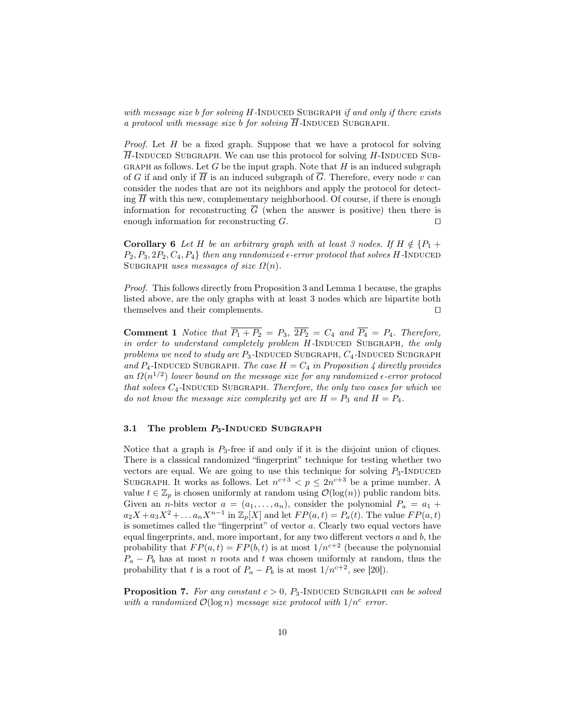with message size  $b$  for solving  $H$ -INDUCED SUBGRAPH if and only if there exists a protocol with message size  $b$  for solving  $H$ -INDUCED SUBGRAPH.

*Proof.* Let  $H$  be a fixed graph. Suppose that we have a protocol for solving  $\overline{H}$ -INDUCED SUBGRAPH. We can use this protocol for solving H-INDUCED SUB-GRAPH as follows. Let G be the input graph. Note that  $H$  is an induced subgraph of G if and only if  $\overline{H}$  is an induced subgraph of  $\overline{G}$ . Therefore, every node v can consider the nodes that are not its neighbors and apply the protocol for detecting  $\overline{H}$  with this new, complementary neighborhood. Of course, if there is enough information for reconstructing  $\overline{G}$  (when the answer is positive) then there is enough information for reconstructing  $G$ .

**Corollary 6** Let H be an arbitrary graph with at least 3 nodes. If  $H \notin \{P_1 + P_2\}$  $P_2, P_3, 2P_2, C_4, P_4$  then any randomized  $\epsilon$ -error protocol that solves H-INDUCED SUBGRAPH uses messages of size  $\Omega(n)$ .

Proof. This follows directly from Proposition 3 and Lemma 1 because, the graphs listed above, are the only graphs with at least 3 nodes which are bipartite both themselves and their complements.  $\Box$ 

**Comment 1** Notice that  $\overline{P_1 + P_2} = P_3$ ,  $\overline{2P_2} = C_4$  and  $\overline{P_4} = P_4$ . Therefore, in order to understand completely problem  $H$ -INDUCED SUBGRAPH, the only problems we need to study are  $P_3$ -INDUCED SUBGRAPH,  $C_4$ -INDUCED SUBGRAPH and P<sub>4</sub>-INDUCED SUBGRAPH. The case  $H = C_4$  in Proposition 4 directly provides an  $\Omega(n^{1/2})$  lower bound on the message size for any randomized  $\epsilon$ -error protocol that solves  $C_4$ -INDUCED SUBGRAPH. Therefore, the only two cases for which we do not know the message size complexity yet are  $H = P_3$  and  $H = P_4$ .

### 3.1 The problem  $P_3$ -INDUCED SUBGRAPH

Notice that a graph is  $P_3$ -free if and only if it is the disjoint union of cliques. There is a classical randomized "fingerprint" technique for testing whether two vectors are equal. We are going to use this technique for solving  $P_3$ -Induced SUBGRAPH. It works as follows. Let  $n^{c+3} < p \leq 2n^{c+3}$  be a prime number. A value  $t \in \mathbb{Z}_p$  is chosen uniformly at random using  $\mathcal{O}(\log(n))$  public random bits. Given an *n*-bits vector  $a = (a_1, \ldots, a_n)$ , consider the polynomial  $P_a = a_1 +$  $a_2X + a_3X^2 + \dots + a_nX^{n-1}$  in  $\mathbb{Z}_p[X]$  and let  $FP(a,t) = P_a(t)$ . The value  $FP(a,t)$ is sometimes called the "fingerprint" of vector a. Clearly two equal vectors have equal fingerprints, and, more important, for any two different vectors  $a$  and  $b$ , the probability that  $FP(a, t) = FP(b, t)$  is at most  $1/n^{c+2}$  (because the polynomial  $P_a - P_b$  has at most n roots and t was chosen uniformly at random, thus the probability that t is a root of  $P_a - P_b$  is at most  $1/n^{c+2}$ , see [20]).

**Proposition 7.** For any constant  $c > 0$ ,  $P_3$ -INDUCED SUBGRAPH can be solved with a randomized  $\mathcal{O}(\log n)$  message size protocol with  $1/n^c$  error.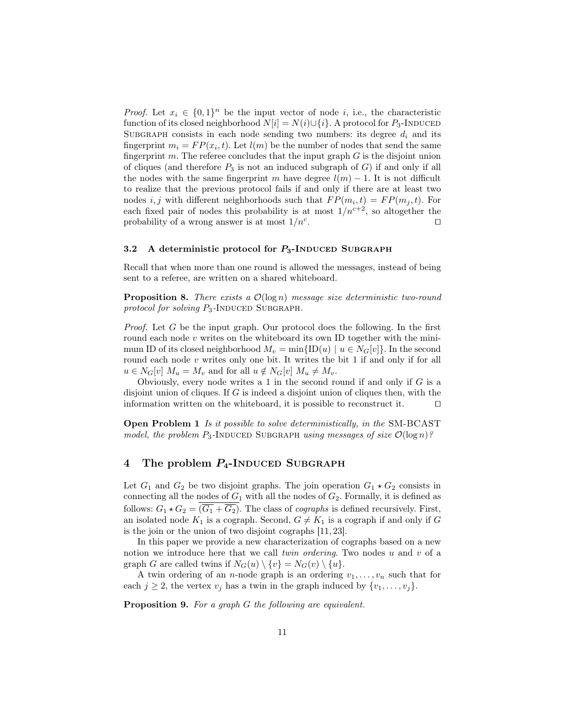*Proof.* Let  $x_i \in \{0,1\}^n$  be the input vector of node i, i.e., the characteristic function of its closed neighborhood  $N[i] = N(i) \cup \{i\}$ . A protocol for  $P_3$ -INDUCED SUBGRAPH consists in each node sending two numbers: its degree  $d_i$  and its fingerprint  $m_i = FP(x_i, t)$ . Let  $l(m)$  be the number of nodes that send the same fingerprint  $m$ . The referee concludes that the input graph  $G$  is the disjoint union of cliques (and therefore  $P_3$  is not an induced subgraph of  $G$ ) if and only if all the nodes with the same fingerprint m have degree  $l(m) - 1$ . It is not difficult to realize that the previous protocol fails if and only if there are at least two nodes *i*, *j* with different neighborhoods such that  $FP(m_i, t) = FP(m_j, t)$ . For each fixed pair of nodes this probability is at most  $1/n^{c+2}$ , so altogether the probability of a wrong answer is at most  $1/n<sup>c</sup>$ . . The contract of the contract  $\Box$ 

### 3.2 A deterministic protocol for  $P_3$ -INDUCED SUBGRAPH

Recall that when more than one round is allowed the messages, instead of being sent to a referee, are written on a shared whiteboard.

**Proposition 8.** There exists a  $\mathcal{O}(\log n)$  message size deterministic two-round protocol for solving  $P_3$ -INDUCED SUBGRAPH.

*Proof.* Let  $G$  be the input graph. Our protocol does the following. In the first round each node  $v$  writes on the whiteboard its own ID together with the minimum ID of its closed neighborhood  $M_v = \min\{ID(u) \mid u \in N_G[v]\}\.$  In the second round each node  $v$  writes only one bit. It writes the bit 1 if and only if for all  $u \in N_G[v]$   $M_u = M_v$  and for all  $u \notin N_G[v]$   $M_u \neq M_v$ .

Obviously, every node writes a 1 in the second round if and only if  $G$  is a disjoint union of cliques. If G is indeed a disjoint union of cliques then, with the information written on the whiteboard, it is possible to reconstruct it.  $\Box$ 

Open Problem 1 Is it possible to solve deterministically, in the SM-BCAST model, the problem  $P_3$ -INDUCED SUBGRAPH using messages of size  $\mathcal{O}(\log n)$ ?

# 4 The problem  $P_4$ -INDUCED SUBGRAPH

Let  $G_1$  and  $G_2$  be two disjoint graphs. The join operation  $G_1 \star G_2$  consists in connecting all the nodes of  $G_1$  with all the nodes of  $G_2$ . Formally, it is defined as follows:  $G_1 \star G_2 = (\overline{G_1} + \overline{G_2})$ . The class of *cographs* is defined recursively. First, an isolated node  $K_1$  is a cograph. Second,  $G \neq K_1$  is a cograph if and only if G is the join or the union of two disjoint cographs [11, 23].

In this paper we provide a new characterization of cographs based on a new notion we introduce here that we call *twin ordering*. Two nodes  $u$  and  $v$  of a graph G are called twins if  $N_G(u) \setminus \{v\} = N_G(v) \setminus \{u\}.$ 

A twin ordering of an *n*-node graph is an ordering  $v_1, \ldots, v_n$  such that for each  $j \geq 2$ , the vertex  $v_j$  has a twin in the graph induced by  $\{v_1, \ldots, v_j\}$ .

Proposition 9. For a graph G the following are equivalent.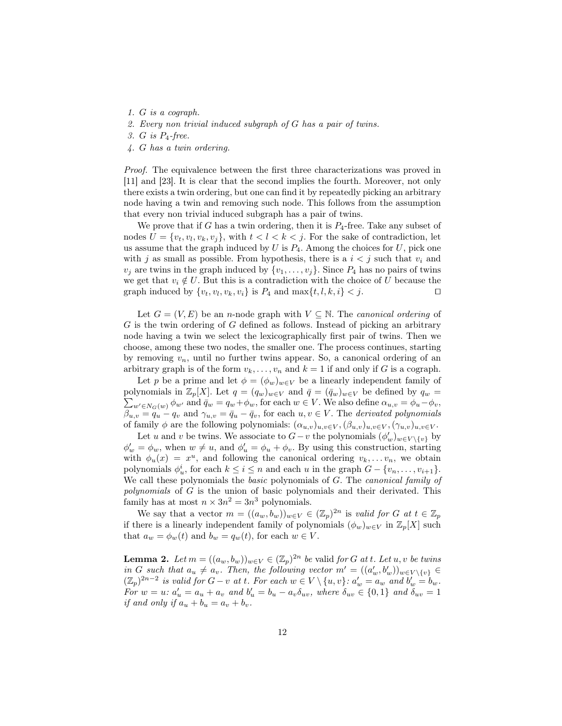- 1. G is a cograph.
- 2. Every non trivial induced subgraph of G has a pair of twins.
- 3. G is P4-free.
- 4. G has a twin ordering.

Proof. The equivalence between the first three characterizations was proved in [11] and [23]. It is clear that the second implies the fourth. Moreover, not only there exists a twin ordering, but one can find it by repeatedly picking an arbitrary node having a twin and removing such node. This follows from the assumption that every non trivial induced subgraph has a pair of twins.

We prove that if G has a twin ordering, then it is  $P_4$ -free. Take any subset of nodes  $U = \{v_t, v_l, v_k, v_j\}$ , with  $t < l < k < j$ . For the sake of contradiction, let us assume that the graph induced by  $U$  is  $P_4$ . Among the choices for  $U$ , pick one with j as small as possible. From hypothesis, there is a  $i < j$  such that  $v_i$  and  $v_i$  are twins in the graph induced by  $\{v_1, \ldots, v_j\}$ . Since  $P_4$  has no pairs of twins we get that  $v_i \notin U$ . But this is a contradiction with the choice of U because the graph induced by  $\{v_t, v_l, v_k, v_i\}$  is  $P_4$  and  $\max\{t, l, k, i\} < j$ .

Let  $G = (V, E)$  be an *n*-node graph with  $V \subseteq N$ . The *canonical ordering* of  $G$  is the twin ordering of  $G$  defined as follows. Instead of picking an arbitrary node having a twin we select the lexicographically first pair of twins. Then we choose, among these two nodes, the smaller one. The process continues, starting by removing  $v_n$ , until no further twins appear. So, a canonical ordering of an arbitrary graph is of the form  $v_k, \ldots, v_n$  and  $k = 1$  if and only if G is a cograph.

Let p be a prime and let  $\phi = (\phi_w)_{w \in V}$  be a linearly independent family of  $\sum_{w' \in N_G(w)} \phi_{w'}$  and  $\bar{q}_w = q_w + \phi_w$ , for each  $w \in V$ . We also define  $\alpha_{u,v} = \phi_u - \phi_v$ , polynomials in  $\mathbb{Z}_p[X]$ . Let  $q = (q_w)_{w \in V}$  and  $\bar{q} = (\bar{q}_w)_{w \in V}$  be defined by  $q_w =$  $\beta_{u,v} = q_u - q_v$  and  $\gamma_{u,v} = \bar{q}_u - \bar{q}_v$ , for each  $u, v \in V$ . The *derivated polynomials* of family  $\phi$  are the following polynomials:  $(\alpha_{u,v})_{u,v\in V}, (\beta_{u,v})_{u,v\in V}, (\gamma_{u,v})_{u,v\in V}$ .

Let u and v be twins. We associate to  $G - v$  the polynomials  $(\phi'_w)_{w \in V \setminus \{v\}}$  by  $\phi'_w = \phi_w$ , when  $w \neq u$ , and  $\phi'_u = \phi_u + \phi_v$ . By using this construction, starting with  $\phi_u(x) = x^u$ , and following the canonical ordering  $v_k, \ldots v_n$ , we obtain polynomials  $\phi_u^i$ , for each  $k \leq i \leq n$  and each u in the graph  $G - \{v_n, \ldots, v_{i+1}\}.$ We call these polynomials the basic polynomials of G. The canonical family of polynomials of G is the union of basic polynomials and their derivated. This family has at most  $n \times 3n^2 = 3n^3$  polynomials.

We say that a vector  $m = ((a_w, b_w))_{w \in V} \in (\mathbb{Z}_p)^{2n}$  is valid for G at  $t \in \mathbb{Z}_p$ if there is a linearly independent family of polynomials  $(\phi_w)_{w \in V}$  in  $\mathbb{Z}_p[X]$  such that  $a_w = \phi_w(t)$  and  $b_w = q_w(t)$ , for each  $w \in V$ .

**Lemma 2.** Let  $m = ((a_w, b_w))_{w \in V} \in (\mathbb{Z}_p)^{2n}$  be valid for G at t. Let  $u, v$  be twins in G such that  $a_u \neq a_v$ . Then, the following vector  $m' = ((a'_w, b'_w))_{w \in V \setminus \{v\}} \in$  $(\mathbb{Z}_p)^{2n-2}$  is valid for  $G-v$  at t. For each  $w \in V \setminus \{u, v\}$ :  $a'_w = a_w$  and  $b'_w = b_w$ . For  $w = u$ :  $a'_u = a_u + a_v$  and  $b'_u = b_u - a_v \delta_{uv}$ , where  $\delta_{uv} \in \{0,1\}$  and  $\delta_{uv} = 1$ if and only if  $a_u + b_u = a_v + b_v$ .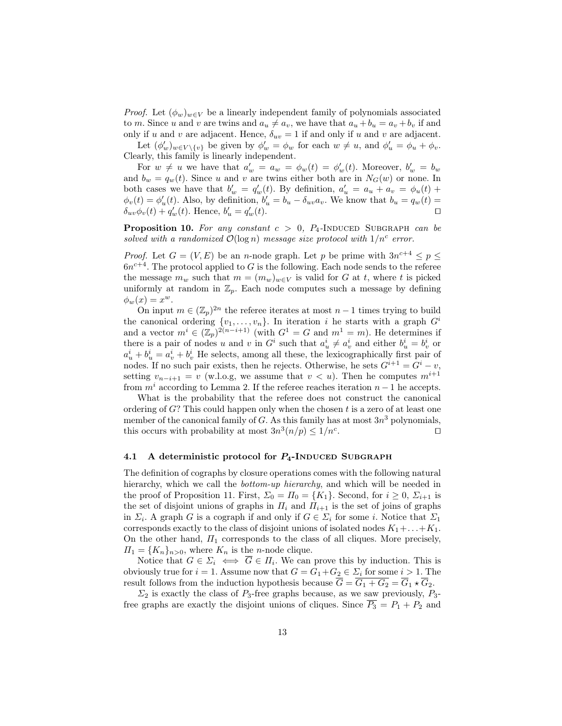*Proof.* Let  $(\phi_w)_{w \in V}$  be a linearly independent family of polynomials associated to m. Since u and v are twins and  $a_u \neq a_v$ , we have that  $a_u + b_u = a_v + b_v$  if and only if u and v are adjacent. Hence,  $\delta_{uv} = 1$  if and only if u and v are adjacent.

Let  $(\phi'_w)_{w \in V \setminus \{v\}}$  be given by  $\phi'_w = \phi_w$  for each  $w \neq u$ , and  $\phi'_u = \phi_u + \phi_v$ . Clearly, this family is linearly independent.

For  $w \neq u$  we have that  $a'_w = a_w = \phi_w(t) = \phi'_w(t)$ . Moreover,  $b'_w = b_w$ and  $b_w = q_w(t)$ . Since u and v are twins either both are in  $N_G(w)$  or none. In both cases we have that  $b'_w = q'_w(t)$ . By definition,  $a'_u = a_u + a_v = \phi_u(t) +$  $\phi_v(t) = \phi'_u(t)$ . Also, by definition,  $b'_u = b_u - \delta_{uv} a_v$ . We know that  $b_u = q_w(t)$  $\delta_{uv}\phi_v(t) + q'_w(t)$ . Hence,  $b'_u = q'_v$  $w'_w(t)$ .

**Proposition 10.** For any constant  $c > 0$ ,  $P_4$ -INDUCED SUBGRAPH can be solved with a randomized  $\mathcal{O}(\log n)$  message size protocol with  $1/n^c$  error.

*Proof.* Let  $G = (V, E)$  be an *n*-node graph. Let p be prime with  $3n^{c+4} \le p \le$  $6n^{c+4}$ . The protocol applied to G is the following. Each node sends to the referee the message  $m_w$  such that  $m = (m_w)_{w \in V}$  is valid for G at t, where t is picked uniformly at random in  $\mathbb{Z}_p$ . Each node computes such a message by defining  $\phi_w(x) = x^w.$ 

On input  $m \in (\mathbb{Z}_p)^{2n}$  the referee iterates at most  $n-1$  times trying to build the canonical ordering  $\{v_1, \ldots, v_n\}$ . In iteration i he starts with a graph  $G^i$ and a vector  $m^i \in (\mathbb{Z}_p)^{2(n-i+1)}$  (with  $G^1 = G$  and  $m^1 = m$ ). He determines if there is a pair of nodes u and v in  $G^i$  such that  $a^i_u \neq a^i_v$  and either  $b^i_u = b^i_v$  or  $a_u^i + b_u^i = a_v^i + b_v^i$  He selects, among all these, the lexicographically first pair of nodes. If no such pair exists, then he rejects. Otherwise, he sets  $G^{i+1} = G^i - v$ , setting  $v_{n-i+1} = v$  (w.l.o.g, we assume that  $v < u$ ). Then he computes  $m^{i+1}$ from  $m<sup>i</sup>$  according to Lemma 2. If the referee reaches iteration  $n-1$  he accepts.

What is the probability that the referee does not construct the canonical ordering of  $G$ ? This could happen only when the chosen  $t$  is a zero of at least one member of the canonical family of  $G$ . As this family has at most  $3n^3$  polynomials, this occurs with probability at most  $3n^3(n/p) \leq 1/n^c$ . The contract of  $\Box$ 

#### 4.1 A deterministic protocol for  $P_4$ -INDUCED SUBGRAPH

The definition of cographs by closure operations comes with the following natural hierarchy, which we call the *bottom-up hierarchy*, and which will be needed in the proof of Proposition 11. First,  $\Sigma_0 = \Pi_0 = \{K_1\}$ . Second, for  $i \geq 0$ ,  $\Sigma_{i+1}$  is the set of disjoint unions of graphs in  $\Pi_i$  and  $\Pi_{i+1}$  is the set of joins of graphs in  $\Sigma_i$ . A graph G is a cograph if and only if  $G \in \Sigma_i$  for some i. Notice that  $\Sigma_1$ corresponds exactly to the class of disjoint unions of isolated nodes  $K_1 + \ldots + K_1$ . On the other hand,  $\Pi_1$  corresponds to the class of all cliques. More precisely,  $\Pi_1 = \{K_n\}_{n>0}$ , where  $K_n$  is the *n*-node clique.

Notice that  $G \in \Sigma_i \iff G \in \Pi_i$ . We can prove this by induction. This is obviously true for  $i = 1$ . Assume now that  $G = G_1 + G_2 \in \Sigma_i$  for some  $i > 1$ . The result follows from the induction hypothesis because  $\overline{G} = \overline{G_1 + G_2} = \overline{G}_1 \star \overline{G}_2$ .

 $\Sigma_2$  is exactly the class of  $P_3$ -free graphs because, as we saw previously,  $P_3$ free graphs are exactly the disjoint unions of cliques. Since  $\overline{P_3} = P_1 + P_2$  and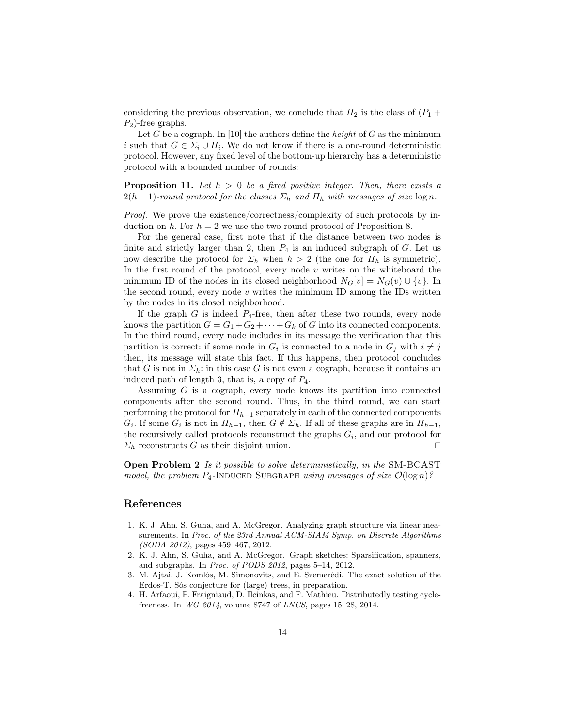considering the previous observation, we conclude that  $\Pi_2$  is the class of  $(P_1 + P_2)$  $P_2$ )-free graphs.

Let G be a cograph. In [10] the authors define the *height* of G as the minimum i such that  $G \in \Sigma_i \cup \Pi_i$ . We do not know if there is a one-round deterministic protocol. However, any fixed level of the bottom-up hierarchy has a deterministic protocol with a bounded number of rounds:

**Proposition 11.** Let  $h > 0$  be a fixed positive integer. Then, there exists a  $2(h-1)$ -round protocol for the classes  $\Sigma_h$  and  $\Pi_h$  with messages of size  $\log n$ .

Proof. We prove the existence/correctness/complexity of such protocols by induction on h. For  $h = 2$  we use the two-round protocol of Proposition 8.

For the general case, first note that if the distance between two nodes is finite and strictly larger than 2, then  $P_4$  is an induced subgraph of G. Let us now describe the protocol for  $\Sigma_h$  when  $h > 2$  (the one for  $\Pi_h$  is symmetric). In the first round of the protocol, every node  $v$  writes on the whiteboard the minimum ID of the nodes in its closed neighborhood  $N_G[v] = N_G(v) \cup \{v\}$ . In the second round, every node  $v$  writes the minimum ID among the IDs written by the nodes in its closed neighborhood.

If the graph  $G$  is indeed  $P_4$ -free, then after these two rounds, every node knows the partition  $G = G_1 + G_2 + \cdots + G_k$  of G into its connected components. In the third round, every node includes in its message the verification that this partition is correct: if some node in  $G_i$  is connected to a node in  $G_j$  with  $i \neq j$ then, its message will state this fact. If this happens, then protocol concludes that G is not in  $\Sigma_h$ : in this case G is not even a cograph, because it contains an induced path of length 3, that is, a copy of  $P_4$ .

Assuming G is a cograph, every node knows its partition into connected components after the second round. Thus, in the third round, we can start performing the protocol for  $\Pi_{h-1}$  separately in each of the connected components  $G_i$ . If some  $G_i$  is not in  $\Pi_{h-1}$ , then  $G \notin \Sigma_h$ . If all of these graphs are in  $\Pi_{h-1}$ , the recursively called protocols reconstruct the graphs  $G_i$ , and our protocol for  $\Sigma_h$  reconstructs G as their disjoint union.

Open Problem 2 Is it possible to solve deterministically, in the SM-BCAST model, the problem  $P_4$ -INDUCED SUBGRAPH using messages of size  $\mathcal{O}(\log n)$ ?

### References

- 1. K. J. Ahn, S. Guha, and A. McGregor. Analyzing graph structure via linear measurements. In Proc. of the 23rd Annual ACM-SIAM Symp. on Discrete Algorithms (SODA 2012), pages 459–467, 2012.
- 2. K. J. Ahn, S. Guha, and A. McGregor. Graph sketches: Sparsification, spanners, and subgraphs. In Proc. of PODS 2012, pages 5–14, 2012.
- 3. M. Ajtai, J. Komlós, M. Simonovits, and E. Szemerédi. The exact solution of the Erdos-T. Sós conjecture for (large) trees, in preparation.
- 4. H. Arfaoui, P. Fraigniaud, D. Ilcinkas, and F. Mathieu. Distributedly testing cyclefreeness. In WG 2014, volume 8747 of LNCS, pages 15–28, 2014.